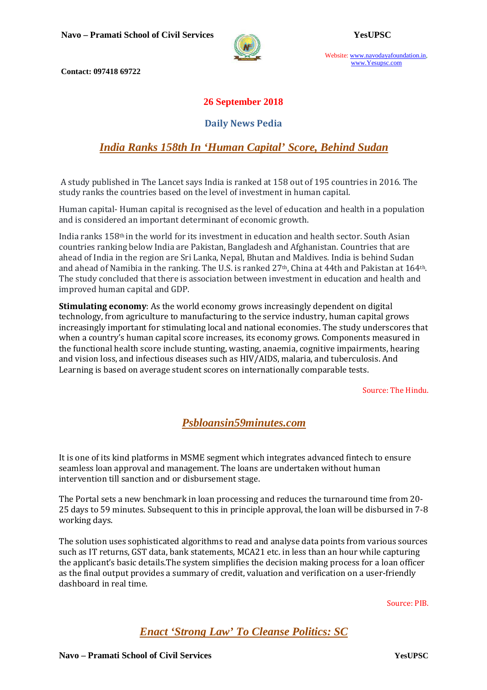

Website: www.navodayafoundation.in, www.Yesupsc.com

 **Contact: 097418 69722** 

#### **26 September 2018**

#### **Daily News Pedia**

## *India Ranks 158th In 'Human Capital' Score, Behind Sudan*

 A study published in The Lancet says India is ranked at 158 out of 195 countries in 2016. The study ranks the countries based on the level of investment in human capital.

Human capital- Human capital is recognised as the level of education and health in a population and is considered an important determinant of economic growth.

India ranks  $158<sup>th</sup>$  in the world for its investment in education and health sector. South Asian countries ranking below India are Pakistan, Bangladesh and Afghanistan. Countries that are ahead of India in the region are Sri Lanka, Nepal, Bhutan and Maldives. India is behind Sudan and ahead of Namibia in the ranking. The U.S. is ranked 27th, China at 44th and Pakistan at 164th. The study concluded that there is association between investment in education and health and improved human capital and GDP.

**Stimulating economy**: As the world economy grows increasingly dependent on digital technology, from agriculture to manufacturing to the service industry, human capital grows increasingly important for stimulating local and national economies. The study underscores that when a country's human capital score increases, its economy grows. Components measured in the functional health score include stunting, wasting, anaemia, cognitive impairments, hearing and vision loss, and infectious diseases such as HIV/AIDS, malaria, and tuberculosis. And Learning is based on average student scores on internationally comparable tests.

Source: The Hindu.

*Psbloansin59minutes.com*

It is one of its kind platforms in MSME segment which integrates advanced fintech to ensure seamless loan approval and management. The loans are undertaken without human intervention till sanction and or disbursement stage.

The Portal sets a new benchmark in loan processing and reduces the turnaround time from 20- 25 days to 59 minutes. Subsequent to this in principle approval, the loan will be disbursed in 7-8 working days.

The solution uses sophisticated algorithms to read and analyse data points from various sources such as IT returns, GST data, bank statements, MCA21 etc. in less than an hour while capturing the applicant's basic details.The system simplifies the decision making process for a loan officer as the final output provides a summary of credit, valuation and verification on a user-friendly dashboard in real time.

Source: PIB.

*Enact 'Strong Law' To Cleanse Politics: SC*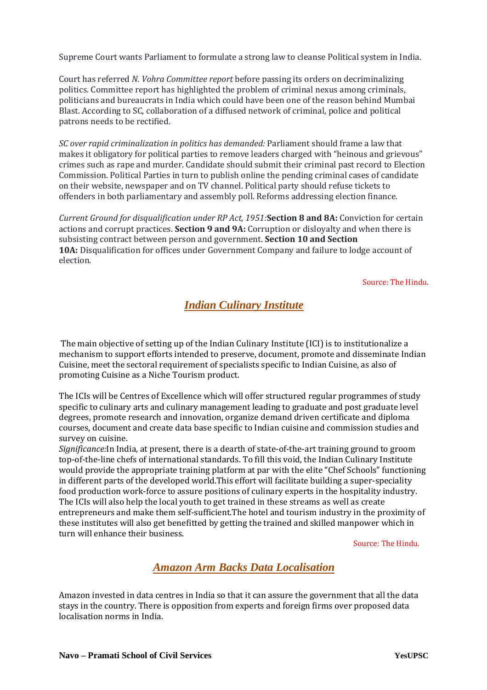Supreme Court wants Parliament to formulate a strong law to cleanse Political system in India.

Court has referred *N. Vohra Committee report* before passing its orders on decriminalizing politics. Committee report has highlighted the problem of criminal nexus among criminals, politicians and bureaucrats in India which could have been one of the reason behind Mumbai Blast. According to SC, collaboration of a diffused network of criminal, police and political patrons needs to be rectified.

*SC over rapid criminalization in politics has demanded:* Parliament should frame a law that makes it obligatory for political parties to remove leaders charged with "heinous and grievous" crimes such as rape and murder. Candidate should submit their criminal past record to Election Commission. Political Parties in turn to publish online the pending criminal cases of candidate on their website, newspaper and on TV channel. Political party should refuse tickets to offenders in both parliamentary and assembly poll. Reforms addressing election finance.

*Current Ground for disqualification under RP Act, 1951:***Section 8 and 8A:** Conviction for certain actions and corrupt practices. **Section 9 and 9A:** Corruption or disloyalty and when there is subsisting contract between person and government. **Section 10 and Section**  10A: Disqualification for offices under Government Company and failure to lodge account of election.

Source: The Hindu.

# *Indian Culinary Institute*

 The main objective of setting up of the Indian Culinary Institute (ICI) is to institutionalize a mechanism to support efforts intended to preserve, document, promote and disseminate Indian Cuisine, meet the sectoral requirement of specialists specific to Indian Cuisine, as also of promoting Cuisine as a Niche Tourism product.

The ICIs will be Centres of Excellence which will offer structured regular programmes of study specific to culinary arts and culinary management leading to graduate and post graduate level degrees, promote research and innovation, organize demand driven certificate and diploma courses, document and create data base specific to Indian cuisine and commission studies and survey on cuisine.

*Significance:*In India, at present, there is a dearth of state-of-the-art training ground to groom top-of-the-line chefs of international standards. To fill this void, the Indian Culinary Institute would provide the appropriate training platform at par with the elite "Chef Schools" functioning in different parts of the developed world.This effort will facilitate building a super-speciality food production work-force to assure positions of culinary experts in the hospitality industry. The ICIs will also help the local youth to get trained in these streams as well as create entrepreneurs and make them self-sufficient.The hotel and tourism industry in the proximity of these institutes will also get benefitted by getting the trained and skilled manpower which in turn will enhance their business.

Source: The Hindu.

### *Amazon Arm Backs Data Localisation*

Amazon invested in data centres in India so that it can assure the government that all the data stays in the country. There is opposition from experts and foreign firms over proposed data localisation norms in India.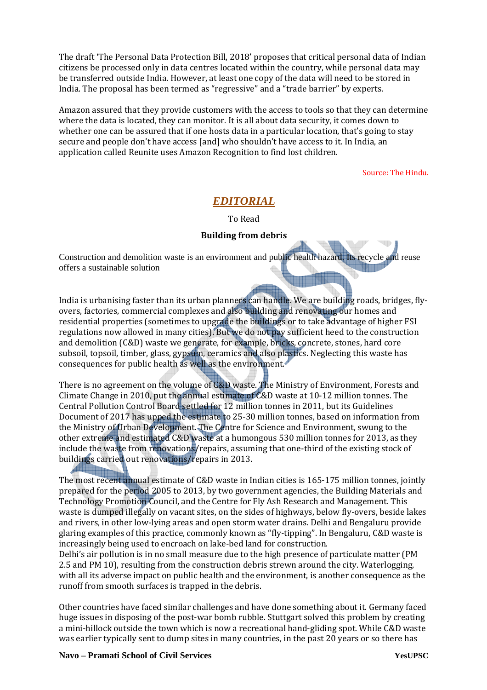The draft 'The Personal Data Protection Bill, 2018' proposes that critical personal data of Indian citizens be processed only in data centres located within the country, while personal data may be transferred outside India. However, at least one copy of the data will need to be stored in India. The proposal has been termed as "regressive" and a "trade barrier" by experts.

Amazon assured that they provide customers with the access to tools so that they can determine where the data is located, they can monitor. It is all about data security, it comes down to whether one can be assured that if one hosts data in a particular location, that's going to stay secure and people don't have access [and] who shouldn't have access to it. In India, an application called Reunite uses Amazon Recognition to find lost children.

Source: The Hindu.

### *EDITORIAL*

To Read

#### **Building from debris**

Construction and demolition waste is an environment and public health hazard. Its recycle and reuse offers a sustainable solution

India is urbanising faster than its urban planners can handle. We are building roads, bridges, flyovers, factories, commercial complexes and also building and renovating our homes and residential properties (sometimes to upgrade the buildings or to take advantage of higher FSI regulations now allowed in many cities). But we do not pay sufficient heed to the construction and demolition (C&D) waste we generate, for example, bricks, concrete, stones, hard core subsoil, topsoil, timber, glass, gypsum, ceramics and also plastics. Neglecting this waste has consequences for public health as well as the environment.

There is no agreement on the volume of C&D waste. The Ministry of Environment, Forests and Climate Change in 2010, put the annual estimate of C&D waste at 10-12 million tonnes. The Central Pollution Control Board settled for 12 million tonnes in 2011, but its Guidelines Document of 2017 has upped the estimate to 25-30 million tonnes, based on information from the Ministry of Urban Development. The Centre for Science and Environment, swung to the other extreme and estimated C&D waste at a humongous 530 million tonnes for 2013, as they include the waste from renovations/repairs, assuming that one-third of the existing stock of buildings carried out renovations/repairs in 2013.

The most recent annual estimate of C&D waste in Indian cities is 165-175 million tonnes, jointly prepared for the period 2005 to 2013, by two government agencies, the Building Materials and Technology Promotion Council, and the Centre for Fly Ash Research and Management. This waste is dumped illegally on vacant sites, on the sides of highways, below fly-overs, beside lakes and rivers, in other low-lying areas and open storm water drains. Delhi and Bengaluru provide glaring examples of this practice, commonly known as "fly-tipping". In Bengaluru, C&D waste is increasingly being used to encroach on lake-bed land for construction.

Delhi's air pollution is in no small measure due to the high presence of particulate matter (PM 2.5 and PM 10), resulting from the construction debris strewn around the city. Waterlogging, with all its adverse impact on public health and the environment, is another consequence as the runoff from smooth surfaces is trapped in the debris.

Other countries have faced similar challenges and have done something about it. Germany faced huge issues in disposing of the post-war bomb rubble. Stuttgart solved this problem by creating a mini-hillock outside the town which is now a recreational hand-gliding spot. While C&D waste was earlier typically sent to dump sites in many countries, in the past 20 years or so there has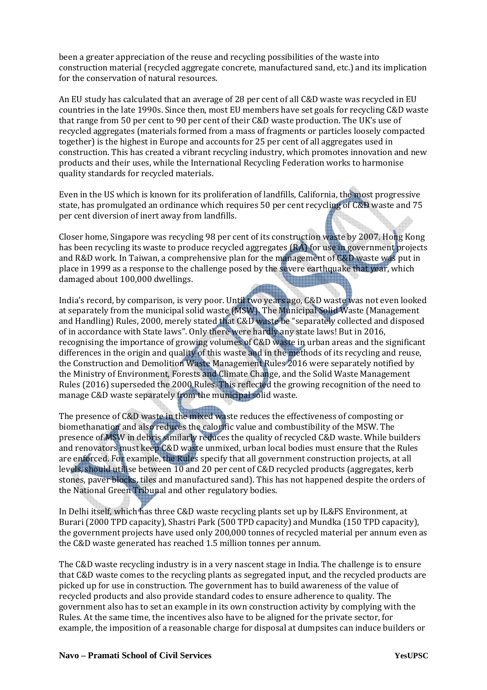been a greater appreciation of the reuse and recycling possibilities of the waste into construction material (recycled aggregate concrete, manufactured sand, etc.) and its implication for the conservation of natural resources.

An EU study has calculated that an average of 28 per cent of all C&D waste was recycled in EU countries in the late 1990s. Since then, most EU members have set goals for recycling C&D waste that range from 50 per cent to 90 per cent of their C&D waste production. The UK's use of recycled aggregates (materials formed from a mass of fragments or particles loosely compacted together) is the highest in Europe and accounts for 25 per cent of all aggregates used in construction. This has created a vibrant recycling industry, which promotes innovation and new products and their uses, while the International Recycling Federation works to harmonise quality standards for recycled materials.

Even in the US which is known for its proliferation of landfills, California, the most progressive state, has promulgated an ordinance which requires 50 per cent recycling of C&D waste and 75 per cent diversion of inert away from landfills.

Closer home, Singapore was recycling 98 per cent of its construction waste by 2007. Hong Kong has been recycling its waste to produce recycled aggregates (RA) for use in government projects and R&D work. In Taiwan, a comprehensive plan for the management of C&D waste was put in place in 1999 as a response to the challenge posed by the severe earthquake that year, which damaged about 100,000 dwellings. ina alama san da an an a

India's record, by comparison, is very poor. Until two years ago, C&D waste was not even looked at separately from the municipal solid waste (MSW). The Municipal Solid Waste (Management and Handling) Rules, 2000, merely stated that C&D waste be "separately collected and disposed of in accordance with State laws". Only there were hardly any state laws! But in 2016, recognising the importance of growing volumes of C&D waste in urban areas and the significant differences in the origin and quality of this waste and in the methods of its recycling and reuse, the Construction and Demolition Waste Management Rules 2016 were separately notified by the Ministry of Environment, Forests and Climate Change, and the Solid Waste Management Rules (2016) superseded the 2000 Rules. This reflected the growing recognition of the need to manage C&D waste separately from the municipal solid waste.

The presence of C&D waste in the mixed waste reduces the effectiveness of composting or biomethanation and also reduces the calorific value and combustibility of the MSW. The presence of MSW in debris similarly reduces the quality of recycled C&D waste. While builders and renovators must keep C&D waste unmixed, urban local bodies must ensure that the Rules are enforced. For example, the Rules specify that all government construction projects, at all levels, should utilise between 10 and 20 per cent of C&D recycled products (aggregates, kerb stones, paver blocks, tiles and manufactured sand). This has not happened despite the orders of the National Green Tribunal and other regulatory bodies.

In Delhi itself, which has three C&D waste recycling plants set up by IL&FS Environment, at Burari (2000 TPD capacity), Shastri Park (500 TPD capacity) and Mundka (150 TPD capacity), the government projects have used only 200,000 tonnes of recycled material per annum even as the C&D waste generated has reached 1.5 million tonnes per annum.

The C&D waste recycling industry is in a very nascent stage in India. The challenge is to ensure that C&D waste comes to the recycling plants as segregated input, and the recycled products are picked up for use in construction. The government has to build awareness of the value of recycled products and also provide standard codes to ensure adherence to quality. The government also has to set an example in its own construction activity by complying with the Rules. At the same time, the incentives also have to be aligned for the private sector, for example, the imposition of a reasonable charge for disposal at dumpsites can induce builders or